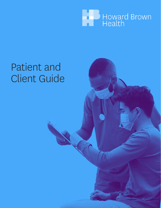

# Patient and Client Guide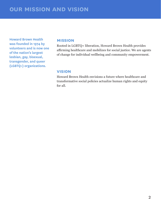**Howard Brown Health was founded in 1974 by volunteers and is now one of the nation's largest lesbian, gay, bisexual, transgender, and queer (LGBTQ+) organizations.** 

#### **mission**

Rooted in LGBTQ+ liberation, Howard Brown Health provides affirming healthcare and mobilizes for social justice. We are agents of change for individual wellbeing and community empowerment.

#### **vision**

Howard Brown Health envisions a future where healthcare and transformative social policies actualize human rights and equity for all.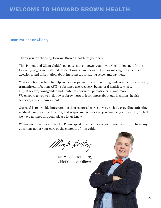#### **Dear Patient or Client,**

Thank you for choosing Howard Brown Health for your care.

This Patient and Client Guide's purpose is to empower you in your health journey. In the following pages you will find descriptions of our services, tips for making informed health decisions, and information about insurance, our sliding scale, and payment.

Your care team is here to help you access primary care, screening and treatment for sexually transmitted infections (STI), substance use recovery, behavioral health services, OB/GYN care, transgender and nonbinary services, pediatric care, and more. We encourage you to visit howardbrown.org to learn more about our locations, health services, and announcements.

Our goal is to provide integrated, patient-centered care at every visit by providing affirming medical care, health education, and responsive services so you can feel your best. If you feel we have not met this goal, please let us know.

We are your partners in health. Please speak to a member of your care team if you have any questions about your care or the contents of this guide.

Map Hwlby

Dr. Magda Houlberg, Chief Clinical Officer

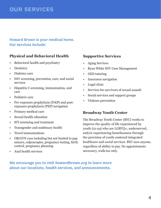# **our services**

## **Howard Brown is your medical home. Our services include:**

## **Physical and Behavioral Health**

- Behavioral health and psychiatry
- Dentistry
- Diabetes care
- HIV screening, prevention, care, and social services
- Hepatitis C screening, immunization, and care
- Pediatric care
- Pre-exposure prophylaxis (PrEP) and postexposure prophylaxis (PEP) navigation
- Primary medical care
- Sexual health education
- STI screening and treatment
- Transgender and nonbinary health
- Travel immunizations
- OB/GYN care including but not limited to pap smears, colposcopies, pregnancy testing, birth control, pregnancy planning
- Anal health services

#### **Supportive Services**

- Aging Services
- Ryan White HIV Case Management
- GED tutoring
- Insurance navigation
- Legal clinic
- Services for survivors of sexual assault
- Social services and support groups
- Violence prevention

#### **Broadway Youth Center**

The Broadway Youth Center (BYC) works to improve the quality of life experienced by youth (12-24) who are LGBTQ+, underserved, and/or experiencing homelessness through the provision of youth-centered integrated healthcare and social services. BYC sees anyone, regardless of ability to pay. No appointments necessary, walk-ins only.

## **We encourage you to visit** *howardbrown.org* **to learn more about our locations, health services, and announcements.**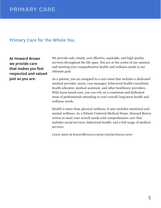# **Primary Care for the Whole You**

**At Howard Brown we provide care that makes you feel respected and valued just as you are.** 

We provide safe, timely, cost effective, equitable, and high quality services throughout the life span. You are at the center of our mission and meeting your comprehensive health and wellness needs is our ultimate goal.

As a patient, you are assigned to a care team that includes a dedicated medical provider, nurse, case manager, behavioral health consultant, health educator, medical assistant, and other healthcare providers. With team-based care, you can rely on a consistent and dedicated team of professionals attending to your overall, long-term health and wellness needs.

Health is more than physical wellness. It also includes emotional and mental wellness. As a Patient Centered Medical Home, Howard Brown strives to meet your overall needs with comprehensive care that includes social services, behavioral health, and a full range of medical services.

Learn more at *howardbrown.org/service/primary-care/*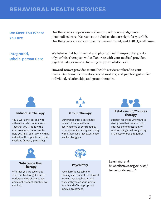# **behavioral health services**

#### **We Meet You Where You Are**

Our therapists are passionate about providing non-judgmental, personalized care. We respect the choices that are right for your life. Our therapists are sex-positive, trauma-informed, and LGBTQ+ affirming.

**Integrated, Whole-person Care**

We believe that both mental and physical health impact the quality of your life. Therapists will collaborate with your medical provider, psychiatrists, or nurses, focusing on your holistic health.

Howard Brown provides mental health services tailored to your needs. Our team of counselors, social workers, and psychologists offer individual, relationship, and group therapies.



#### **Individual Therapy**

You'll work one-on-one with a therapist who understands. Together you'll identify the concerns most important to help you find relief. Work with an individual therapist for up to 24 sessions (about 7-9 months).



#### **Group Therapy**

Our groups offer a safe place to learn how to feel less overwhelmed or controlled by emotions while talking and being with others who may experience similar struggles.



#### **Relationship/Couples Therapy**

Support for those who want to strengthen their relationship, improve communication, or work on things that are getting in the way of being together.





#### **Substance Use Therapy**

Whether you are looking to stop, cut back or get a better understanding of how drugs and alcohol affect your life, we can help.



Psychiatry is available for primary care patients at Howard Brown. Your psychiatrist will work with you on your mental health and offer appropriate medical treatment.

Learn more at howardbrown.org/service/ behavioral-health/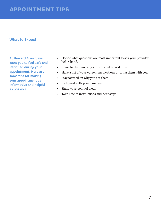# **appointment tips**

#### **What to Expect**

**At Howard Brown, we want you to feel safe and informed during your appointment. Here are some tips for making your appointment as informative and helpful as possible.**

- Decide what questions are most important to ask your provider beforehand.
- Come to the clinic at your provided arrival time.
- Have a list of your current medications or bring them with you.
- Stay focused on why you are there.
- Be honest with your care team.
- Share your point of view.
- Take note of instructions and next steps.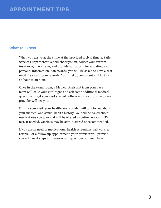#### **What to Expect**

When you arrive at the clinic at the provided arrival time, a Patient Services Representative will check you in, collect your current insurance, if available, and provide you a form for updating your personal information. Afterwards, you will be asked to have a seat until the exam room is ready. Your first appointment will last half an hour to an hour.

Once in the exam room, a Medical Assistant from your care team will take your vital signs and ask some additional medical questions to get your visit started. Afterwards, your primary care provider will see you.

During your visit, your healthcare provider will talk to you about your medical and sexual health history. You will be asked about medications you take and will be offered a routine, opt-out HIV test. If needed, vaccines may be administered or recommended.

If you are in need of medications, health screenings, lab work, a referral, or a follow-up appointment, your provider will provide you with next steps and answer any questions you may have.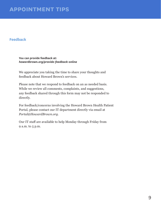# **appointment tips**

#### **Feedback**

**You can provide feedback at:**  *howardbrown.org/provide-feedback-online*

We appreciate you taking the time to share your thoughts and feedback about Howard Brown's services.

Please note that we respond to feedback on an as needed basis. While we review all comments, complaints, and suggestions, any feedback shared through this form may not be responded to directly.

For feedback/concerns involving the Howard Brown Health Patient Portal, please contact our IT department directly via email at *Portal@HowardBrown.org*.

Our IT staff are available to help Monday through Friday from 9 a.m. to 5 p.m.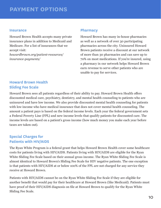#### **Insurance**

Howard Brown Health accepts many private insurance plans in addition to Medicaid and Medicare. For a list of insurances that we accept visit:

*howardbrown.org/patient-resources/ insurance-payments/*

#### **Pharmacy**

Howard Brown has many in-house pharmacies as well as a network of over 30 participating pharmacies across the city. Uninsured Howard Brown patients receive a discount at our network of more than 30 pharmacies and can save up to 70% on most medications. If you're insured, using a pharmacy in our network helps Howard Brown earn revenue to serve other patients who are unable to pay for services.

# **Howard Brown Health Sliding Fee Scale**

Howard Brown sees all patients regardless of their ability to pay. Howard Brown Health offers discounted medical care, psychiatry, dentistry, and mental health counseling to patients who are uninsured and have low income. We also provide discounted mental health counseling for patients with low income who have medical insurance that does not cover mental health counseling. The amount a patient pays is based on the federal income levels. Each year the federal government sets a Federal Poverty Line (FPL) and new income levels that qualify patients for discounted care. The income levels are based on a patient's gross income (how much money you make each year before taxes are taken out).

## **Special Charges for Patients with HIV/AIDS**

The Ryan White Program is a federal grant that helps Howard Brown Health cover some healthcare costs for patients living with HIV/AIDS. Patients living with HIV/AIDS are eligible for the Ryan White Sliding Fee Scale based on their annual gross income. The Ryan White Sliding Fee Scale is almost identical to Howard Brown's Sliding Fee Scale for HIV negative patients. The one exception is that patients with HIV/AIDS at or below 100% of the FPL are not charged for any service they receive at Howard Brown.

Patients with HIV/AIDS cannot be on the Ryan White Sliding Fee Scale if they are eligible for another benefit that would pay for their healthcare at Howard Brown (like Medicaid). Patients must have proof of their HIV/AIDS diagnosis on file at Howard Brown to qualify for the Ryan White Sliding Fee Scale.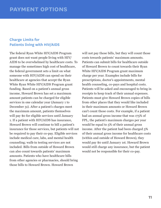#### **Charge Limits for Patients living with HIV/AIDS**

The federal Ryan White HIV/AIDS Program grant does not want people living with HIV/ AIDS to be overwhelmed by healthcare costs. To manage the sometimes high cost of healthcare, the federal government sets a limit on what someone with HIV/AIDS can spend on their healthcare at agencies that accept the Ryan White Ryan White HIV/AIDS Program grant funding. Based on a patient's annual gross income, Howard Brown has set a maximum amount patients can be charged for eligible services in one calendar year (January 1 to December 31). After a patient's charges meet the maximum amount, patients themselves will pay \$0 for eligible services until January 1. If a patient with HIV/AIDS has insurance, Howard Brown will continue to bill a patient's insurance for those services, but patients will not be required to pay their co-pay. Eligible services include medical care, labs, and mental health counseling; walk-in testing services are not included. Bills from outside of Howard Brown can also count towards patients' maximum amounts. Patients who have healthcare bills from other agencies or pharmacies, should bring those bills to Howard Brown. Howard Brown

will not pay those bills, but they will count those costs towards patients' maximum amounts. Patients can submit bills for healthcare outside of Howard Brown to count towards their Ryan White HIV/AIDS Program grant maximum charge per year. Examples include bills for prescriptions, doctor's appointments, mental health counseling, co-pays and hospital costs. Patients will be asked and encouraged to bring in receipts to keep track of their annual expenses. Patients must give Howard Brown copies of bills from other places that they would like included in their maximum amounts or Howard Brown can't count those costs. For example, if a patient had an annual gross income that was 175% of FPL, the patient's maximum charges per year would be equal to 5% of their annual gross income. After the patient had been charged 5% of their annual gross income for healthcare costs (within and outside of Howard Brown), they would pay \$0 until January 1st. Howard Brown would still charge any insurance, but the patient would not be responsible for their co-pay.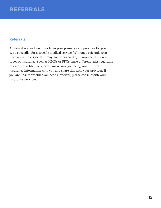### **Referrals**

A referral is a written order from your primary care provider for you to see a specialist for a specific medical service. Without a referral, costs from a visit to a specialist may not be covered by insurance. Different types of insurance, such as HMOs or PPOs, have different rules regarding referrals. To obtain a referral, make sure you bring your current insurance information with you and share this with your provider. If you are unsure whether you need a referral, please consult with your insurance provider.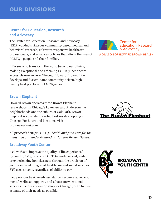# **our divisions**

### **Center for Education, Research and Advocacy**

The Center for Education, Research and Advocacy (ERA) conducts rigorous community-based medical and behavioral research, cultivates responsive healthcare professionals, and advances policies that affirm the lives of LGBTQ+ people and their families.

ERA seeks to transform the world beyond our clinics, making exceptional and affirming LGBTQ+ healthcare accessible everywhere. Through Howard Brown, ERA develops and disseminates community driven, highquality best practices in LGBTQ+ health.

#### **Brown Elephant**

Howard Brown operates three Brown Elephant resale shops, in Chicago's Lakeview and Andersonville neighborhoods and the suburb of Oak Park. Brown Elephant is consistently voted best resale shopping in Chicago. For hours and locations, visit *brownelephant.com.*

*All proceeds benefit LGBTQ+ health and fund care for the uninsured and under-insured at Howard Brown Health.*

#### **Broadway Youth Center**

BYC works to improve the quality of life experienced by youth (12-24) who are LGBTQ+, underserved, and/ or experiencing homelessness through the provision of youth-centered integrated healthcare and social services. BYC sees anyone, regardless of ability to pay.

BYC provides basic needs assistance, resource advocacy, mental wellness supports, and education/vocational services. BYC is a one-stop shop for Chicago youth to meet as many of their needs as possible.



A DIVISION OF HOWARD BROWN HEALTH



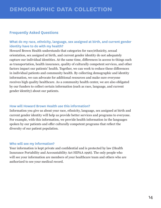#### **Frequently Asked Questions**

#### **What do my race, ethnicity, language, sex assigned at birth, and current gender identity have to do with my health?**

Howard Brown Health understands that categories for race/ethnicity, sexual orientation, sex assigned at birth, and current gender identity do not adequately capture our individual identities. At the same time, differences in access to things such as transportation, health insurance, quality of culturally competent services, and other factors impact our patients' health. Together, we can work to reduce these differences in individual patients and community health. By collecting demographic and identity information, we can advocate for additional resources and make sure everyone receives high quality healthcare. As a community health center, we are also obligated by our funders to collect certain information (such as race, language, and current gender identity) about our patients.

#### **How will Howard Brown Health use this information?**

Information you give us about your race, ethnicity, language, sex assigned at birth and current gender identity will help us provide better services and programs to everyone. For example, with this information, we provide health information in the languages spoken by our patients and offer culturally competent programs that reflect the diversity of our patient population.

#### **Who will see my information?**

Your information is kept private and confidential and is protected by law (Health Insurance Portability and Accountability Act HIPAA 1996). The only people who will see your information are members of your healthcare team and others who are authorized to see your medical record.